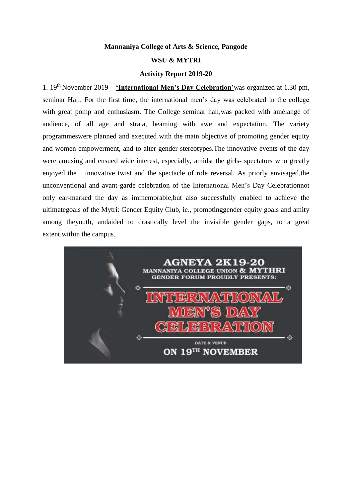## **Mannaniya College of Arts & Science, Pangode**

## **WSU & MYTRI**

## **Activity Report 2019-20**

1. 19th November 2019 **– 'International Men's Day Celebration'**was organized at 1.30 pm, seminar Hall. For the first time, the international men's day was celebrated in the college with great pomp and enthusiasm. The College seminar hall,was packed with amélange of audience, of all age and strata, beaming with awe and expectation. The variety programmeswere planned and executed with the main objective of promoting gender equity and women empowerment, and to alter gender stereotypes.The innovative events of the day were amusing and ensued wide interest, especially, amidst the girls- spectators who greatly enjoyed the innovative twist and the spectacle of role reversal. As priorly envisaged,the unconventional and avant-garde celebration of the International Men's Day Celebrationnot only ear-marked the day as immemorable,but also successfully enabled to achieve the ultimategoals of the Mytri: Gender Equity Club, ie., promotinggender equity goals and amity among theyouth, andaided to drastically level the invisible gender gaps, to a great extent,within the campus.

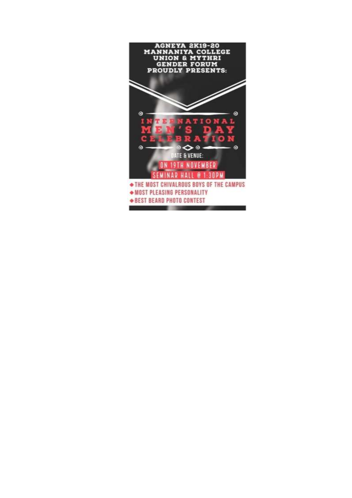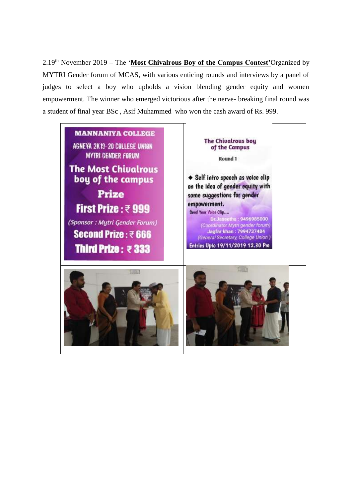2.19th November 2019 – The '**Most Chivalrous Boy of the Campus Contest'**Organized by MYTRI Gender forum of MCAS, with various enticing rounds and interviews by a panel of judges to select a boy who upholds a vision blending gender equity and women empowerment. The winner who emerged victorious after the nerve- breaking final round was a student of final year BSc , Asif Muhammed who won the cash award of Rs. 999.

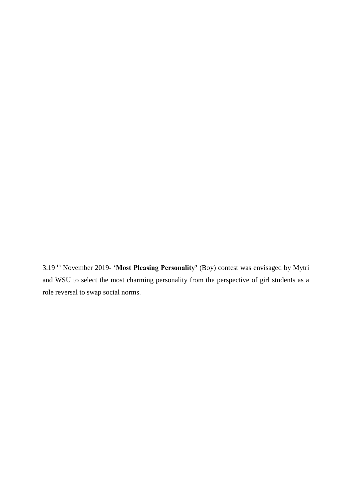3.19 th November 2019- '**Most Pleasing Personality'** (Boy) contest was envisaged by Mytri and WSU to select the most charming personality from the perspective of girl students as a role reversal to swap social norms.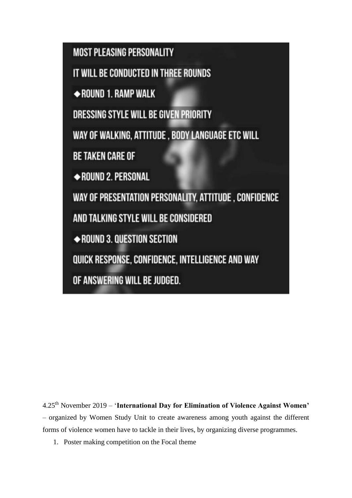**MOST PLEASING PERSONALITY** IT WILL BE CONDUCTED IN THREE ROUNDS ◆ ROUND 1. RAMP WALK DRESSING STYLE WILL BE GIVEN PRIORITY WAY OF WALKING, ATTITUDE, BODY LANGUAGE ETC WILL **BE TAKEN CARE OF** ◆ ROUND 2. PERSONAL WAY OF PRESENTATION PERSONALITY, ATTITUDE, CONFIDENCE AND TALKING STYLE WILL BE CONSIDERED ◆ ROUND 3. QUESTION SECTION QUICK RESPONSE, CONFIDENCE, INTELLIGENCE AND WAY OF ANSWERING WILL BE JUDGED.

4.25th November 2019 – '**International Day for Elimination of Violence Against Women'** – organized by Women Study Unit to create awareness among youth against the different forms of violence women have to tackle in their lives, by organizing diverse programmes.

1. Poster making competition on the Focal theme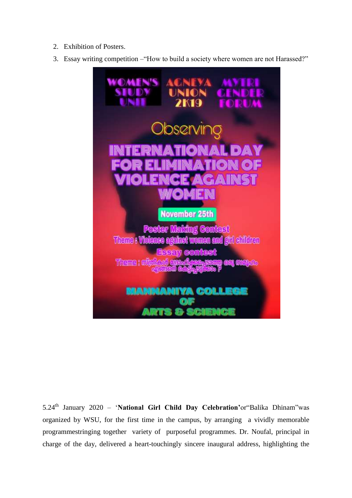- 2. Exhibition of Posters.
- 3. Essay writing competition –"How to build a society where women are not Harassed?"



5.24th January 2020 – '**National Girl Child Day Celebration'**or"Balika Dhinam"was organized by WSU, for the first time in the campus, by arranging a vividly memorable programmestringing together variety of purposeful programmes. Dr. Noufal, principal in charge of the day, delivered a heart-touchingly sincere inaugural address, highlighting the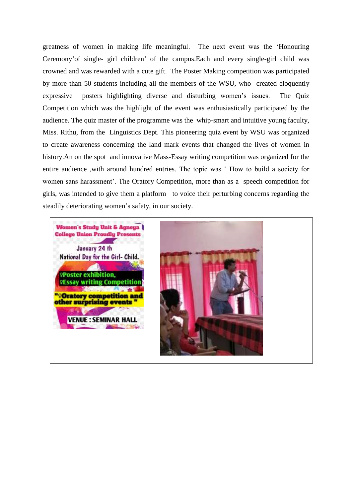greatness of women in making life meaningful. The next event was the 'Honouring Ceremony'of single- girl children' of the campus.Each and every single-girl child was crowned and was rewarded with a cute gift. The Poster Making competition was participated by more than 50 students including all the members of the WSU, who created eloquently expressive posters highlighting diverse and disturbing women's issues. The Quiz Competition which was the highlight of the event was enthusiastically participated by the audience. The quiz master of the programme was the whip-smart and intuitive young faculty, Miss. Rithu, from the Linguistics Dept. This pioneering quiz event by WSU was organized to create awareness concerning the land mark events that changed the lives of women in history.An on the spot and innovative Mass-Essay writing competition was organized for the entire audience ,with around hundred entries. The topic was ' How to build a society for women sans harassment'. The Oratory Competition, more than as a speech competition for girls, was intended to give them a platform to voice their perturbing concerns regarding the steadily deteriorating women's safety, in our society.

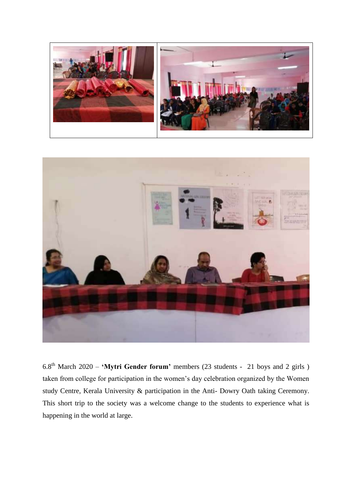



6.8 th March 2020 – **'Mytri Gender forum'** members (23 students - 21 boys and 2 girls ) taken from college for participation in the women's day celebration organized by the Women study Centre, Kerala University & participation in the Anti- Dowry Oath taking Ceremony. This short trip to the society was a welcome change to the students to experience what is happening in the world at large.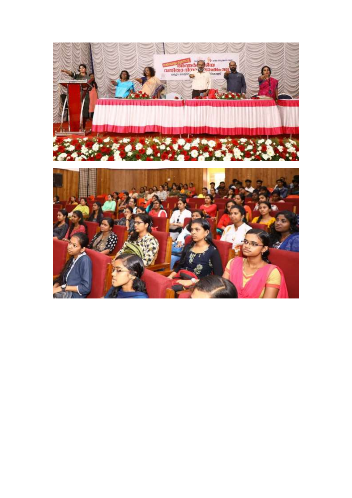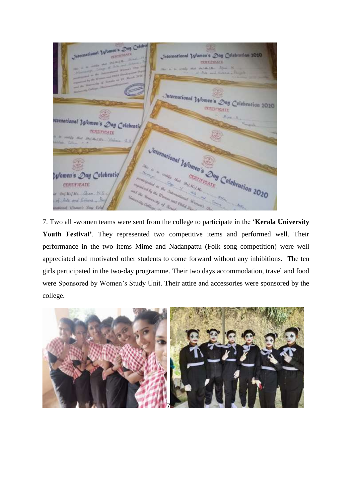

7. Two all -women teams were sent from the college to participate in the '**Kerala University Youth Festival'**. They represented two competitive items and performed well. Their performance in the two items Mime and Nadanpattu (Folk song competition) were well appreciated and motivated other students to come forward without any inhibitions. The ten girls participated in the two-day programme. Their two days accommodation, travel and food were Sponsored by Women's Study Unit. Their attire and accessories were sponsored by the college.

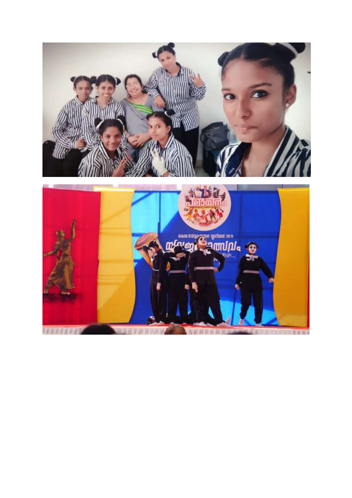

详  $-2612$